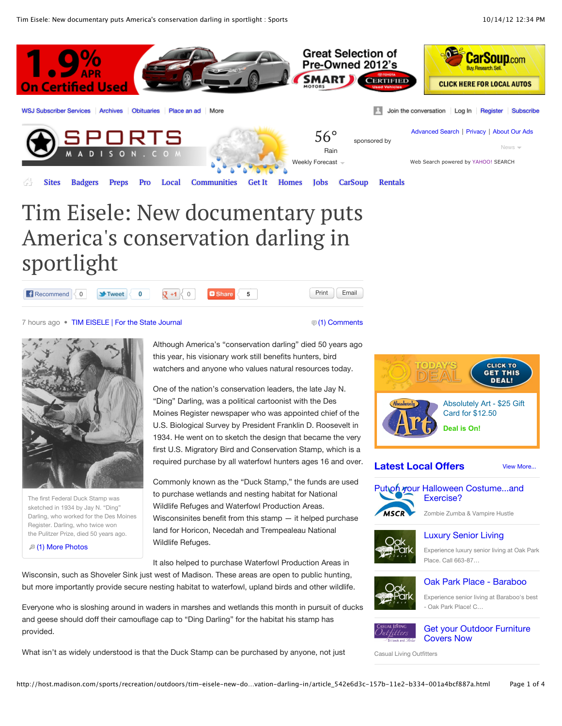Tim Eisele: New documentary puts America's conservation darling in sportlight : Sports 10/14/12 12:34 PM



# America's conservation darling in sportlight



7 hours ago • [TIM EISELE | For the State Journal](http://host.madison.com/search/?l=50&sd=desc&s=start_time&f=html&byline=TIM%20EISELE%20%7C%20For%20the%20State%20Journal) [\(1\) Comments](http://host.madison.com/sports/recreation/outdoors/tim-eisele-new-documentary-puts-america-s-conservation-darling-in/article_542e6d3c-157b-11e2-b334-001a4bcf887a.html#comments) (1) Comments

The first Federal Duck Stamp was sketched in 1934 by Jay N. "Ding" Darling, who worked for the Des Moines Register. Darling, who twice won the Pulitzer Prize, died 50 years ago.

[\(1\) More Photos](http://host.madison.com/content/tncms/live/#)

Although America's "conservation darling" died 50 years ago this year, his visionary work still benefits hunters, bird watchers and anyone who values natural resources today.

One of the nation's conservation leaders, the late Jay N. "Ding" Darling, was a political cartoonist with the Des Moines Register newspaper who was appointed chief of the U.S. Biological Survey by President Franklin D. Roosevelt in 1934. He went on to sketch the design that became the very first U.S. Migratory Bird and Conservation Stamp, which is a required purchase by all waterfowl hunters ages 16 and over.

Commonly known as the "Duck Stamp," the funds are used to purchase wetlands and nesting habitat for National Wildlife Refuges and Waterfowl Production Areas. Wisconsinites benefit from this stamp — it helped purchase land for Horicon, Necedah and Trempealeau National Wildlife Refuges.

It also helped to purchase Waterfowl Production Areas in

Wisconsin, such as Shoveler Sink just west of Madison. These areas are open to public hunting, but more importantly provide secure nesting habitat to waterfowl, upland birds and other wildlife.

Everyone who is sloshing around in waders in marshes and wetlands this month in pursuit of ducks and geese should doff their camouflage cap to "Ding Darling" for the habitat his stamp has provided.

What isn't as widely understood is that the Duck Stamp can be purchased by anyone, not just



#### [View More...](http://host.madison.com/search/?c=places/offers&t=article&sd=desc&s=start_time&sHeading=Get%20It%20Madison%20Latest%20Offers&skin=/get-it&D=business) **[Latest Local Offers](http://host.madison.com/search/?c=places/offers&t=article&sd=desc&s=start_time&sHeading=Get%20It%20Madison%20Latest%20Offers&skin=/get-it&D=business)**



Exercise?

Zombie Zumba & Vampire Hustle

[Luxury Senior Living](http://host.madison.com/places/offers/luxury-senior-living/article_e6e582c2-0afb-11e1-813d-001cc4c002e0.html)



## Experience luxury senior living at Oak Park

Place. Call 663-87…



## [Oak Park Place - Baraboo](http://host.madison.com/places/offers/oak-park-place---baraboo/article_b81c1184-0af8-11e1-9217-001cc4c002e0.html)

Experience senior living at Baraboo's best - Oak Park Place! C…



[Get your Outdoor Furniture](http://host.madison.com/places/offers/get-your-outdoor-furniture-covers-now/article_94dc4538-08ca-11e2-b57b-001a4bcf887a.html) Covers Now

Casual Living Outfitters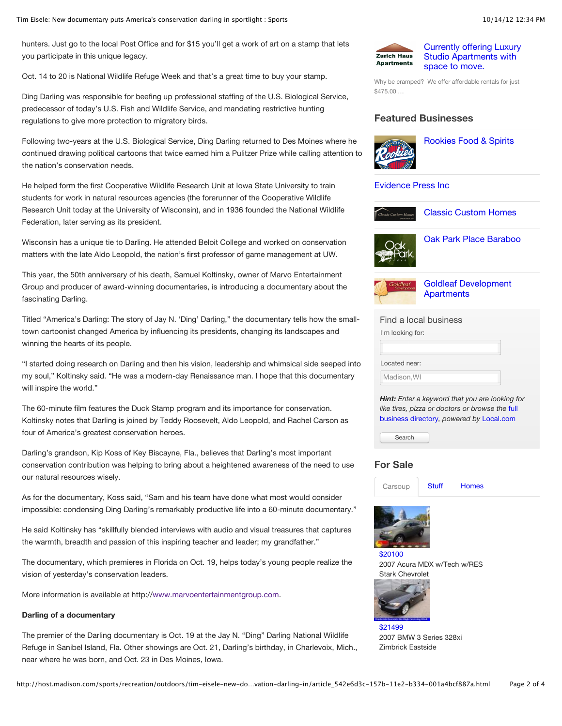hunters. Just go to the local Post Office and for \$15 you'll get a work of art on a stamp that lets you participate in this unique legacy.

Oct. 14 to 20 is National Wildlife Refuge Week and that's a great time to buy your stamp.

Ding Darling was responsible for beefing up professional staffing of the U.S. Biological Service, predecessor of today's U.S. Fish and Wildlife Service, and mandating restrictive hunting regulations to give more protection to migratory birds.

Following two-years at the U.S. Biological Service, Ding Darling returned to Des Moines where he continued drawing political cartoons that twice earned him a Pulitzer Prize while calling attention to the nation's conservation needs.

He helped form the first Cooperative Wildlife Research Unit at Iowa State University to train students for work in natural resources agencies (the forerunner of the Cooperative Wildlife Research Unit today at the University of Wisconsin), and in 1936 founded the National Wildlife Federation, later serving as its president.

Wisconsin has a unique tie to Darling. He attended Beloit College and worked on conservation matters with the late Aldo Leopold, the nation's first professor of game management at UW.

This year, the 50th anniversary of his death, Samuel Koltinsky, owner of Marvo Entertainment Group and producer of award-winning documentaries, is introducing a documentary about the fascinating Darling.

Titled "America's Darling: The story of Jay N. 'Ding' Darling," the documentary tells how the smalltown cartoonist changed America by influencing its presidents, changing its landscapes and winning the hearts of its people.

"I started doing research on Darling and then his vision, leadership and whimsical side seeped into my soul," Koltinsky said. "He was a modern-day Renaissance man. I hope that this documentary will inspire the world."

The 60-minute film features the Duck Stamp program and its importance for conservation. Koltinsky notes that Darling is joined by Teddy Roosevelt, Aldo Leopold, and Rachel Carson as four of America's greatest conservation heroes.

Darling's grandson, Kip Koss of Key Biscayne, Fla., believes that Darling's most important conservation contribution was helping to bring about a heightened awareness of the need to use our natural resources wisely.

As for the documentary, Koss said, "Sam and his team have done what most would consider impossible: condensing Ding Darling's remarkably productive life into a 60-minute documentary."

He said Koltinsky has "skillfully blended interviews with audio and visual treasures that captures the warmth, breadth and passion of this inspiring teacher and leader; my grandfather."

The documentary, which premieres in Florida on Oct. 19, helps today's young people realize the vision of yesterday's conservation leaders.

More information is available at http:/[/www.marvoentertainmentgroup.com](http://www.marvoentertainmentgroup.com/).

#### **Darling of a documentary**

The premier of the Darling documentary is Oct. 19 at the Jay N. "Ding" Darling National Wildlife Refuge in Sanibel Island, Fla. Other showings are Oct. 21, Darling's birthday, in Charlevoix, Mich., near where he was born, and Oct. 23 in Des Moines, Iowa.



[Currently offering Luxury](http://host.madison.com/places/offers/currently-offering-luxury-studio-apartments-with-space-to-move/article_4b41733e-07fe-11e2-85eb-0019bb2963f4.html) Studio Apartments with space to move.

Why be cramped? We offer affordable rentals for just \$475.00 …

#### **Featured Businesses**



[Rookies Food & Spirits](http://host.madison.com/places/rookies-food-spirits/business_4000001985.html)

#### [Evidence Press Inc](http://host.madison.com/places/evidence-press-inc/business_4000006172.html)



[Classic Custom Homes](http://host.madison.com/places/classic-custom-homes/business_4000006010.html)



[Oak Park Place Baraboo](http://host.madison.com/places/oak-park-place-baraboo/business_1112101463.html)



[Goldleaf Development](http://host.madison.com/places/goldleaf-development-apartments/business_4000001607.html) **Apartments** 

| Find a local business |  |
|-----------------------|--|
| I'm looking for:      |  |
|                       |  |
| Located near:         |  |
| Madison, WI           |  |
|                       |  |

*Hint: Enter a keyword that you are looking for [like tires, pizza or doctors or browse the](http://localdirectory.madison.com/)* full business directory*, powered by* [Local.com](http://localdirectory.madison.com/)

Search

#### **For Sale**

[Carsoup](http://host.madison.com/content/tncms/live/#) [Stuff](http://host.madison.com/content/tncms/live/#) [Homes](http://host.madison.com/content/tncms/live/#)



[\\$20100](http://www.carsoup.com/madison/used-vehicles/detail/Car-Truck/Central-Wisconsin/Acura/MDX-Tech/2007/22074485/) 2007 Acura MDX w/Tech w/RES Stark Chevrolet



[\\$21499](http://www.carsoup.com/madison/used-vehicles/detail/Car-Truck/Central-Wisconsin/BMW/328XI/2007/22201081/) 2007 BMW 3 Series 328xi Zimbrick Eastside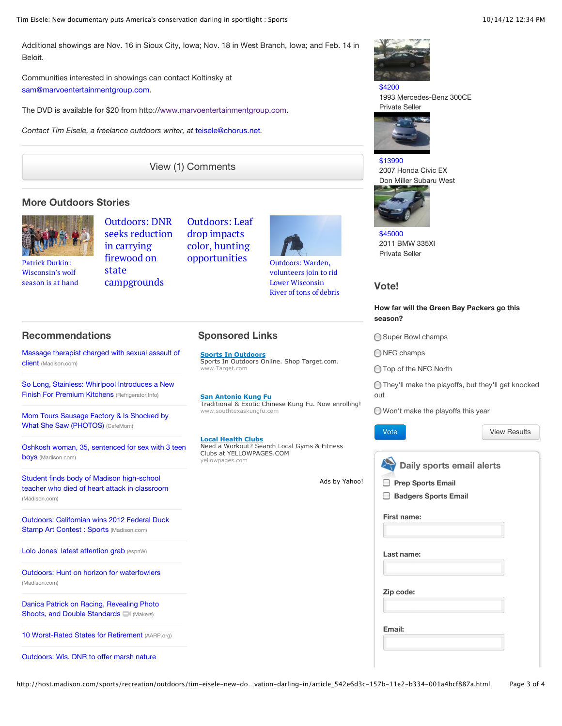Additional showings are Nov. 16 in Sioux City, Iowa; Nov. 18 in West Branch, Iowa; and Feb. 14 in Beloit.

Communities interested in showings can contact Koltinsky at [sam@marvoentertainmentgroup.com.](mailto:sam@marvoentertainmentgroup.com)

The DVD is available for \$20 from http:/[/www.marvoentertainmentgroup.com.](http://www.marvoentertainmentgroup.com/)

*Contact Tim Eisele, a freelance outdoors writer, at* [teisele@chorus.net](mailto:teisele@chorus.net)*.*

[View \(1\) Comments](http://host.madison.com/sports/recreation/outdoors/tim-eisele-new-documentary-puts-america-s-conservation-darling-in/article_542e6d3c-157b-11e2-b334-001a4bcf887a.html?mode=comments)

#### **More Outdoors Stories**



Patrick Durkin: Wisconsin's wolf [season is at hand](http://host.madison.com/sports/recreation/outdoors/patrick-durkin-wisconsin-s-wolf-season-is-at-hand/article_aa91df40-1401-11e2-a67b-0019bb2963f4.html) Outdoors: DNR [seeks reduction](http://host.madison.com/sports/recreation/outdoors/outdoors-dnr-seeks-reduction-in-carrying-firewood-on-state-campgrounds/article_13e08604-1425-11e2-8230-001a4bcf887a.html) in carrying firewood on state campgrounds

[Outdoors: Leaf](http://host.madison.com/sports/recreation/outdoors/outdoors-leaf-drop-impacts-color-hunting-opportunities/article_05be4220-1400-11e2-998e-0019bb2963f4.html) drop impacts color, hunting opportunities Outdoors: Warden,



volunteers join to rid Lower Wisconsin [River of tons of debris](http://host.madison.com/sports/recreation/outdoors/outdoors-warden-volunteers-join-to-rid-lower-wisconsin-river-of/article_c8c105ba-1355-11e2-90d6-001a4bcf887a.html)

### **Recommendations**

[Massage therapist charged with sexual assault of](http://host.madison.com/news/local/crime_and_courts/massage-therapist-charged-with-sexual-assault-of-client/article_3ab5a0f2-0840-11e2-940b-0019bb2963f4.html) client (Madison.com)

[So Long, Stainless: Whirlpool Introduces a New](http://www.refrigeratorinfo.com/News/So-Long-Stainless-Whirlpool-Introduces-a-New-Finish-For-Premium-Kitchens.htm) Finish For Premium Kitchens (Refrigerator Info)

[Mom Tours Sausage Factory & Is Shocked by](http://thestir.cafemom.com/food_party/143518/mom_tours_sausage_factory_is) What She Saw (PHOTOS) (CafeMom)

[Oshkosh woman, 35, sentenced for sex with 3 teen](http://host.madison.com/news/local/crime_and_courts/oshkosh-woman-sentenced-for-sex-with-teen-boys/article_10ffc85c-de5e-11e1-9bbe-0019bb2963f4.html) boys (Madison.com)

Student finds body of Madison high-school [teacher who died of heart attack in classroom](http://host.madison.com/news/local/education/local_schools/student-finds-body-of-madison-high-school-teacher-who-died/article_3fcefff0-fbae-11e1-907f-001a4bcf887a.html) (Madison.com)

[Outdoors: Californian wins 2012 Federal Duck](http://host.madison.com/sports/recreation/outdoors/outdoors-californian-wins-federal-duck-stamp-art-contest/article_5b14e52a-0aba-11e2-9ea6-0019bb2963f4.html) Stamp Art Contest : Sports (Madison.com)

[Lolo Jones' latest attention grab](http://espn.go.com/espnw/commentary/8477496/make-lolo-jones-foray-winter-sports) (espnW)

[Outdoors: Hunt on horizon for waterfowlers](http://host.madison.com/sports/recreation/outdoors/outdoors-hunt-on-horizon-for-waterfowlers/article_a849c7d6-fdfc-11e1-94cd-0019bb2963f4.html) (Madison.com)

[Danica Patrick on Racing, Revealing Photo](http://www.makers.com/danica-patrick) Shoots, and Double Standards (Makers)

[10 Worst-Rated States for Retirement](http://www.aarp.org/work/retirement-planning/info-09-2010/10-worst-rated-states-for-retirement.html) (AARP.org)

[Outdoors: Wis. DNR to offer marsh nature](http://host.madison.com/sports/recreation/outdoors/outdoors-wis-dnr-to-offer-marsh-nature-programs/article_67a22f6c-1106-11e2-ba5e-001a4bcf887a.html)

**Sponsored Links**

**Sports In Outdoors** Sports In Outdoors Online. Shop Target.com. www.Target.com

**San Antonio Kung Fu** Traditional & Exotic Chinese Kung Fu. Now enrolling! www.southtexaskungfu.com

**Local Health Clubs** Need a Workout? Search Local Gyms & Fitness Clubs at YELLOWPAGES.COM yellowpages.com

[Ads by Yahoo!](http://info.yahoo.com/services/us/yahoo/ads/details.html)



[\\$4200](http://www.carsoup.com/madison/used-vehicles/detail/Car-Truck/Central-Wisconsin/Mercedes-Benz/300CE/1993/21887375/) 1993 Mercedes-Benz 300CE Private Seller



[\\$13990](http://www.carsoup.com/madison/used-vehicles/detail/Car-Truck/Central-Wisconsin/Honda/Civic-EX/2007/21931407/) 2007 Honda Civic EX Don Miller Subaru West



[\\$45000](http://www.carsoup.com/madison/used-vehicles/detail/Car-Truck/Central-Wisconsin/BMW/335XI/2011/20718521/) 2011 BMW 335XI Private Seller

#### **Vote!**

#### **How far will the Green Bay Packers go this season?**

◯ Super Bowl champs

ONFC champs

◯ Top of the NFC North

They'll make the playoffs, but they'll get knocked out

Won't make the playoffs this year



[View Results](http://host.madison.com/content/tncms/live/#)

**Daily sports email alerts**

```
∩
Prep Sports Email
```

| <b>Badgers Sports Email</b> |
|-----------------------------|
|                             |

| First name: |  |
|-------------|--|
|-------------|--|

| Last name: |  |  |
|------------|--|--|
| Zip code:  |  |  |
| Email:     |  |  |